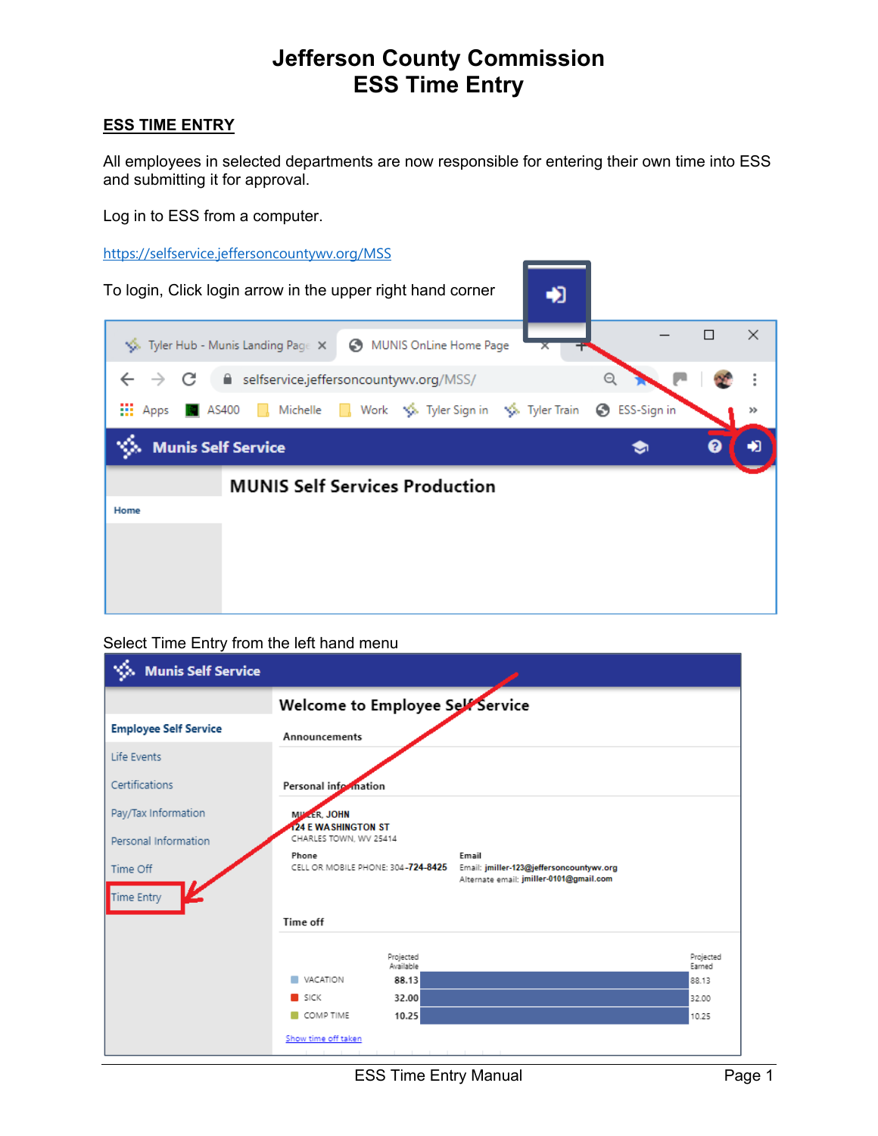# **Jefferson County Commission ESS Time Entry**

### **ESS TIME ENTRY**

All employees in selected departments are now responsible for entering their own time into ESS and submitting it for approval.

Log in to ESS from a computer.

https://selfservice.jeffersoncountywv.org/MSS



#### Select Time Entry from the left hand menu

| <b>Munis Self Service</b>    |                                                                                                                                             |  |  |  |  |  |  |  |  |
|------------------------------|---------------------------------------------------------------------------------------------------------------------------------------------|--|--|--|--|--|--|--|--|
|                              | Welcome to Employee Self Service                                                                                                            |  |  |  |  |  |  |  |  |
| <b>Employee Self Service</b> | Announcements                                                                                                                               |  |  |  |  |  |  |  |  |
| Life Events                  |                                                                                                                                             |  |  |  |  |  |  |  |  |
| Certifications               | Personal information                                                                                                                        |  |  |  |  |  |  |  |  |
| Pay/Tax Information          | MILLER, JOHN                                                                                                                                |  |  |  |  |  |  |  |  |
| Personal Information         | <b>124 E WASHINGTON ST</b><br>CHARLES TOWN, WV 25414                                                                                        |  |  |  |  |  |  |  |  |
| Time Off<br>Time Entry       | Phone<br>Email<br>CELL OR MOBILE PHONE: 304-724-8425<br>Email: jmiller-123@jeffersoncountywv.org<br>Alternate email: jmiller-0101@gmail.com |  |  |  |  |  |  |  |  |
|                              | Time off                                                                                                                                    |  |  |  |  |  |  |  |  |
|                              | Projected<br>Projected<br>Available<br>Earned                                                                                               |  |  |  |  |  |  |  |  |
|                              | VACATION<br>88.13<br>88.13                                                                                                                  |  |  |  |  |  |  |  |  |
|                              | SICK<br>32.00<br>32.00                                                                                                                      |  |  |  |  |  |  |  |  |
|                              | COMP TIME<br>10.25<br>10.25                                                                                                                 |  |  |  |  |  |  |  |  |
|                              | Show time off taken                                                                                                                         |  |  |  |  |  |  |  |  |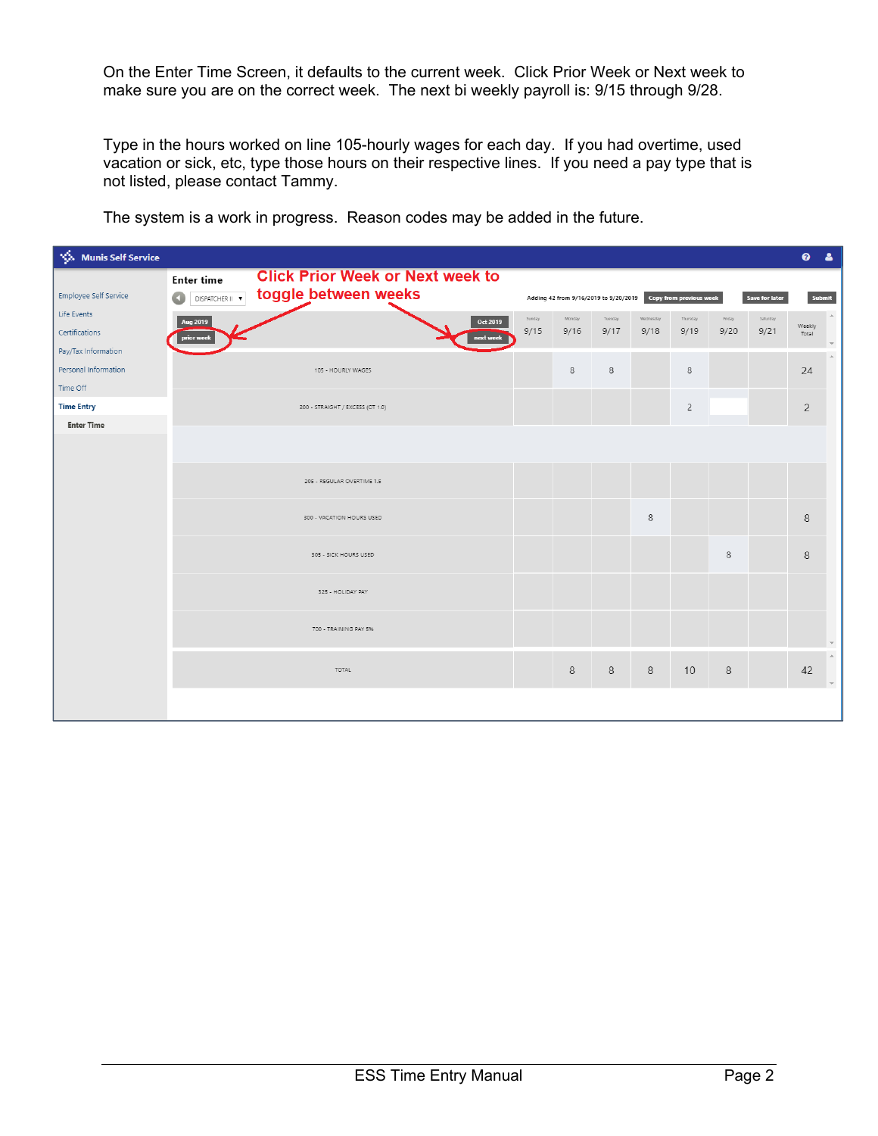On the Enter Time Screen, it defaults to the current week. Click Prior Week or Next week to make sure you are on the correct week. The next bi weekly payroll is: 9/15 through 9/28.

Type in the hours worked on line 105-hourly wages for each day. If you had overtime, used vacation or sick, etc, type those hours on their respective lines. If you need a pay type that is not listed, please contact Tammy.

| <b>Vol. Munis Self Service</b> |                   |                                         |        |        |                                       |           |                         |        |                | $\bullet$       | <b>A</b> |
|--------------------------------|-------------------|-----------------------------------------|--------|--------|---------------------------------------|-----------|-------------------------|--------|----------------|-----------------|----------|
|                                | <b>Enter time</b> | <b>Click Prior Week or Next week to</b> |        |        |                                       |           |                         |        |                |                 |          |
| Employee Self Service          | DISPATCHER II V   | toggle between weeks                    |        |        | Adding 42 from 9/16/2019 to 9/20/2019 |           | Copy from previous week |        | Save for later |                 | Submit   |
| Life Events                    | Aug 2019          | Oct 2019                                | Sunday | Monday | Tuesday                               | Wednesday | Thursday                | Friday | Saturday       |                 |          |
| Certifications                 | prior week        | next week                               | 9/15   | 9/16   | 9/17                                  | 9/18      | 9/19                    | 9/20   | 9/21           | Weekly<br>Total |          |
| Pay/Tax Information            |                   |                                         |        |        |                                       |           |                         |        |                |                 |          |
| Personal Information           |                   | 105 - HOURLY WAGES                      |        | 8      | 8                                     |           | 8                       |        |                | 24              |          |
| Time Off                       |                   |                                         |        |        |                                       |           |                         |        |                |                 |          |
| <b>Time Entry</b>              |                   | 200 - STRAIGHT / EXCESS (OT 1.0)        |        |        |                                       |           | $\overline{c}$          |        |                | $\overline{c}$  |          |
| <b>Enter Time</b>              |                   |                                         |        |        |                                       |           |                         |        |                |                 |          |
|                                |                   |                                         |        |        |                                       |           |                         |        |                |                 |          |
|                                |                   |                                         |        |        |                                       |           |                         |        |                |                 |          |
|                                |                   | 205 - REGULAR OVERTIME 1.5              |        |        |                                       |           |                         |        |                |                 |          |
|                                |                   |                                         |        |        |                                       |           |                         |        |                |                 |          |
|                                |                   | 300 - VACATION HOURS USED               |        |        |                                       | $\,$ 8    |                         |        |                | 8               |          |
|                                |                   |                                         |        |        |                                       |           |                         |        |                |                 |          |
|                                |                   | 305 - SICK HOURS USED                   |        |        |                                       |           |                         | 8      |                | 8               |          |
|                                |                   |                                         |        |        |                                       |           |                         |        |                |                 |          |
|                                |                   | 325 - HOLIDAY PAY                       |        |        |                                       |           |                         |        |                |                 |          |
|                                |                   |                                         |        |        |                                       |           |                         |        |                |                 |          |
|                                |                   | 700 - TRAINING PAY 5%                   |        |        |                                       |           |                         |        |                |                 |          |
|                                |                   |                                         |        |        |                                       |           |                         |        |                |                 |          |
|                                |                   | TOTAL                                   |        | 8      | 8                                     | 8         | 10                      | 8      |                | 42              |          |
|                                |                   |                                         |        |        |                                       |           |                         |        |                |                 |          |
|                                |                   |                                         |        |        |                                       |           |                         |        |                |                 |          |

The system is a work in progress. Reason codes may be added in the future.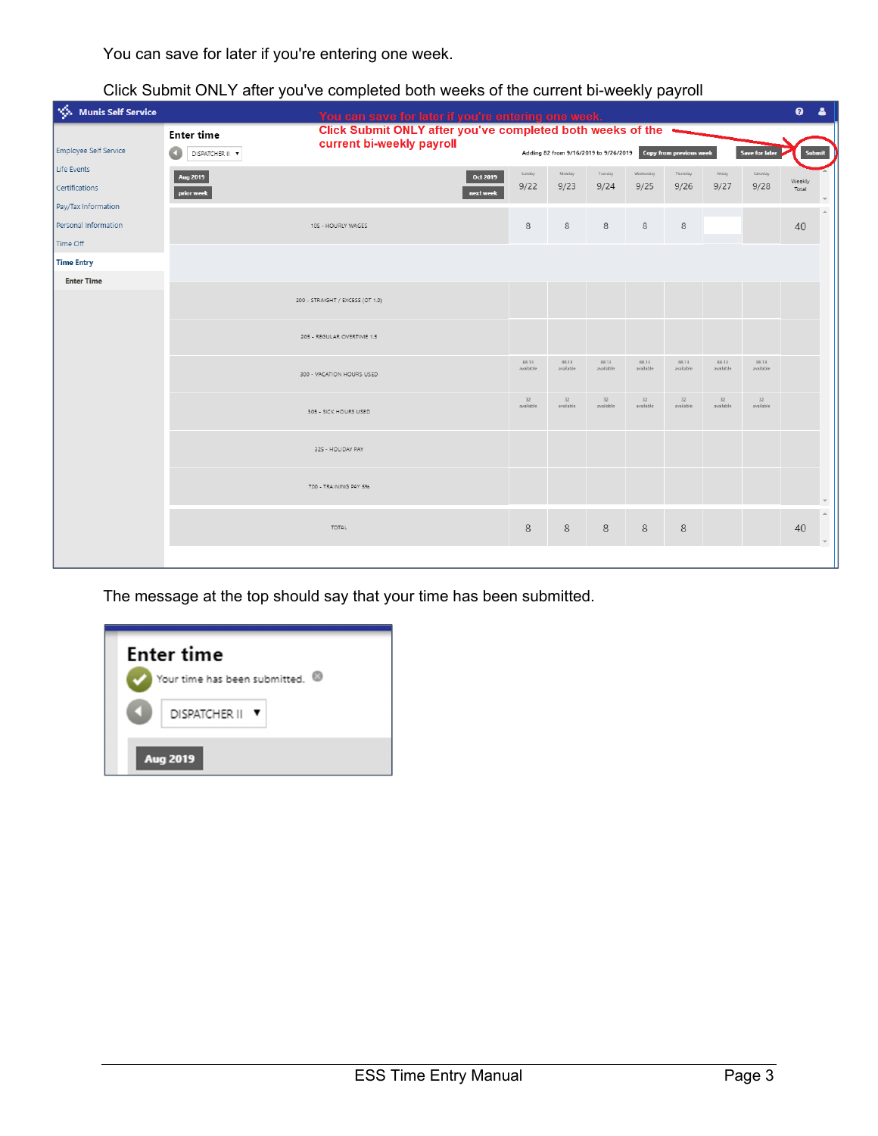You can save for later if you're entering one week.

|                               |                                      | You can save for later if you're entering one week.                                     |                    |                                       |                    |                    |                         |                    |                       | $\bullet$<br>$\blacktriangle$ |
|-------------------------------|--------------------------------------|-----------------------------------------------------------------------------------------|--------------------|---------------------------------------|--------------------|--------------------|-------------------------|--------------------|-----------------------|-------------------------------|
| <b>Employee Self Service</b>  | <b>Enter time</b><br>DISPATCHER II V | Click Submit ONLY after you've completed both weeks of the<br>current bi-weekly payroll |                    | Adding 82 from 9/16/2019 to 9/26/2019 |                    |                    | Copy from previous week |                    | <b>Save for later</b> | Submit                        |
| Life Events<br>Certifications | <b>Aug 2019</b>                      | Oct 2019<br>next week                                                                   | Sunday<br>9/22     | Monday<br>9/23                        | Tuesday<br>9/24    | Wednesday<br>9/25  | Thursday<br>9/26        | Friday<br>9/27     | Saturday<br>9/28      | Weekly<br>Total               |
| Pay/Tax Information           | prior week                           |                                                                                         |                    |                                       |                    |                    |                         |                    |                       |                               |
| Personal Information          |                                      | 8                                                                                       | 8                  | 8                                     | 8                  | 8                  |                         |                    | 40                    |                               |
| Time Off                      |                                      |                                                                                         |                    |                                       |                    |                    |                         |                    |                       |                               |
| <b>Time Entry</b>             |                                      |                                                                                         |                    |                                       |                    |                    |                         |                    |                       |                               |
| <b>Enter Time</b>             | 200 - STRAIGHT / EXCESS (OT 1.0)     |                                                                                         |                    |                                       |                    |                    |                         |                    |                       |                               |
|                               | 205 - REGULAR OVERTIME 1.5           |                                                                                         |                    |                                       |                    |                    |                         |                    |                       |                               |
|                               |                                      | 300 - VACATION HOURS USED                                                               | 88.13<br>available | 88.13<br>available                    | 88.13<br>available | 88.13<br>available | 88.13<br>available      | 88.13<br>available | 88.13<br>available    |                               |
|                               |                                      | 305 - SICK HOURS USED                                                                   | 32<br>available    | 32<br>available                       | 32<br>available    | 32<br>available    | 32<br>available         | 32<br>available    | 32<br>available       |                               |
|                               |                                      | 325 - HOLIDAY PAY                                                                       |                    |                                       |                    |                    |                         |                    |                       |                               |
|                               |                                      | 700 - TRAINING PAY 5%                                                                   |                    |                                       |                    |                    |                         |                    |                       |                               |
|                               |                                      | TOTAL                                                                                   | 8                  | 8                                     | 8                  | 8                  | 8                       |                    |                       | 40<br>$\mathbf{v}$            |
|                               |                                      |                                                                                         |                    |                                       |                    |                    |                         |                    |                       |                               |

Click Submit ONLY after you've completed both weeks of the current bi-weekly payroll

The message at the top should say that your time has been submitted.

|    | <b>Enter time</b><br>Your time has been submitted. <sup>@</sup> |
|----|-----------------------------------------------------------------|
| L. | DISPATCHER II V<br><b>Aug 2019</b>                              |
|    |                                                                 |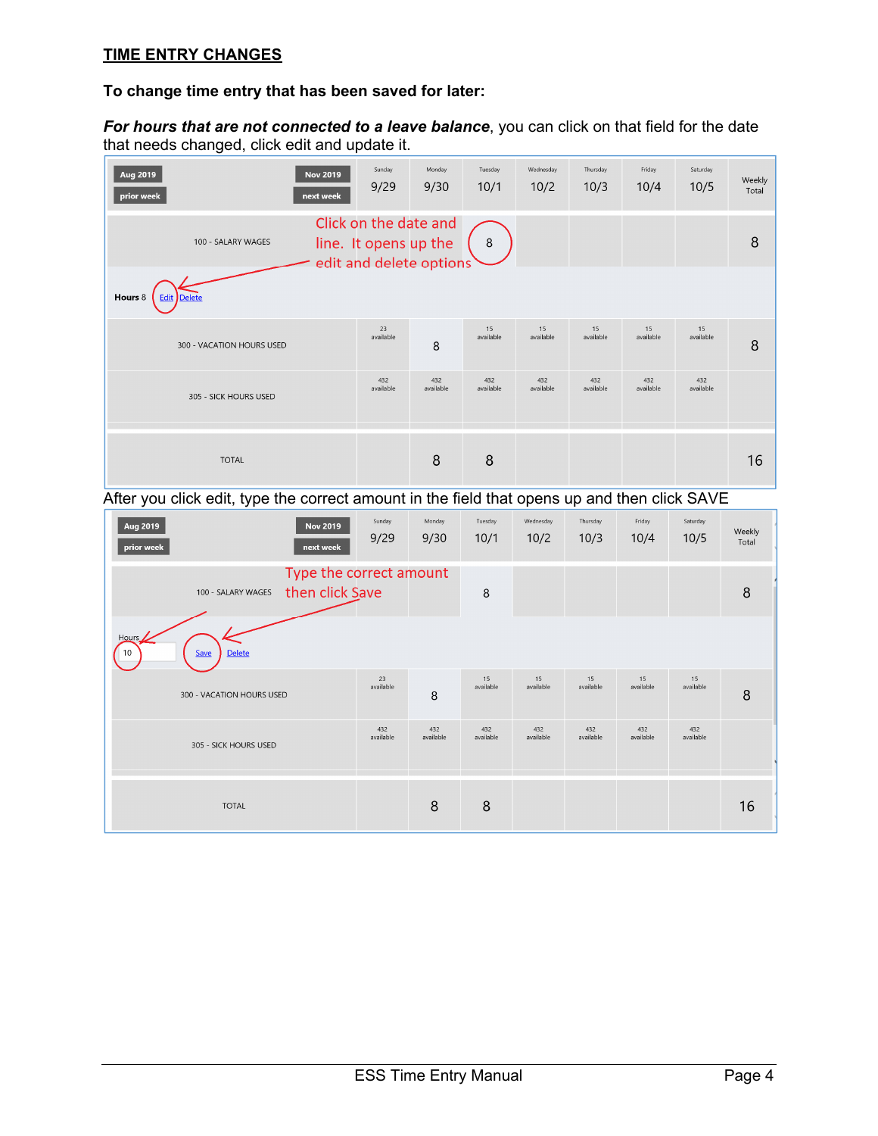### **TIME ENTRY CHANGES**

#### **To change time entry that has been saved for later:**

*For hours that are not connected to a leave balance*, you can click on that field for the date that needs changed, click edit and update it.

| Aug 2019<br><b>Nov 2019</b><br>next week<br>prior week | Sunday<br>9/29                                                            | Monday<br>9/30   | Tuesday<br>10/1                               | Wednesday<br>10/2 | Thursday<br>10/3 | Friday<br>10/4   | Saturday<br>10/5 | Weekly<br>Total |  |  |
|--------------------------------------------------------|---------------------------------------------------------------------------|------------------|-----------------------------------------------|-------------------|------------------|------------------|------------------|-----------------|--|--|
| 100 - SALARY WAGES                                     | Click on the date and<br>line. It opens up the<br>edit and delete options |                  | $\begin{array}{c} \circ \\ \circ \end{array}$ |                   |                  |                  |                  | 8               |  |  |
| Hours 8<br><b>Edit Delete</b>                          |                                                                           |                  |                                               |                   |                  |                  |                  |                 |  |  |
| 300 - VACATION HOURS USED                              | 23<br>available                                                           | 8                | 15<br>available                               | 15<br>available   | 15<br>available  | 15<br>available  | 15<br>available  | 8               |  |  |
| 305 - SICK HOURS USED                                  | 432<br>available                                                          | 432<br>available | 432<br>available                              | 432<br>available  | 432<br>available | 432<br>available | 432<br>available |                 |  |  |
| <b>TOTAL</b>                                           |                                                                           | 8                | 8                                             |                   |                  |                  |                  | 16              |  |  |

After you click edit, type the correct amount in the field that opens up and then click SAVE

| Aug 2019<br><b>Nov 2019</b><br>prior week<br>next week           | Sunday<br>9/29   | Monday<br>9/30   | Tuesday<br>10/1  | Wednesday<br>10/2 | Thursday<br>10/3 | Friday<br>10/4   | Saturday<br>10/5 | Weekly<br>Total |  |  |
|------------------------------------------------------------------|------------------|------------------|------------------|-------------------|------------------|------------------|------------------|-----------------|--|--|
| Type the correct amount<br>then click Save<br>100 - SALARY WAGES |                  |                  | 8                |                   |                  |                  |                  | 8               |  |  |
| Hours<br>Delete<br>10<br>Save                                    |                  |                  |                  |                   |                  |                  |                  |                 |  |  |
| 300 - VACATION HOURS USED                                        | 23<br>available  | 8                | 15<br>available  | 15<br>available   | 15<br>available  | 15<br>available  | 15<br>available  | 8               |  |  |
| 305 - SICK HOURS USED                                            | 432<br>available | 432<br>available | 432<br>available | 432<br>available  | 432<br>available | 432<br>available | 432<br>available |                 |  |  |
| <b>TOTAL</b>                                                     |                  | 8                | 8                |                   |                  |                  |                  | 16              |  |  |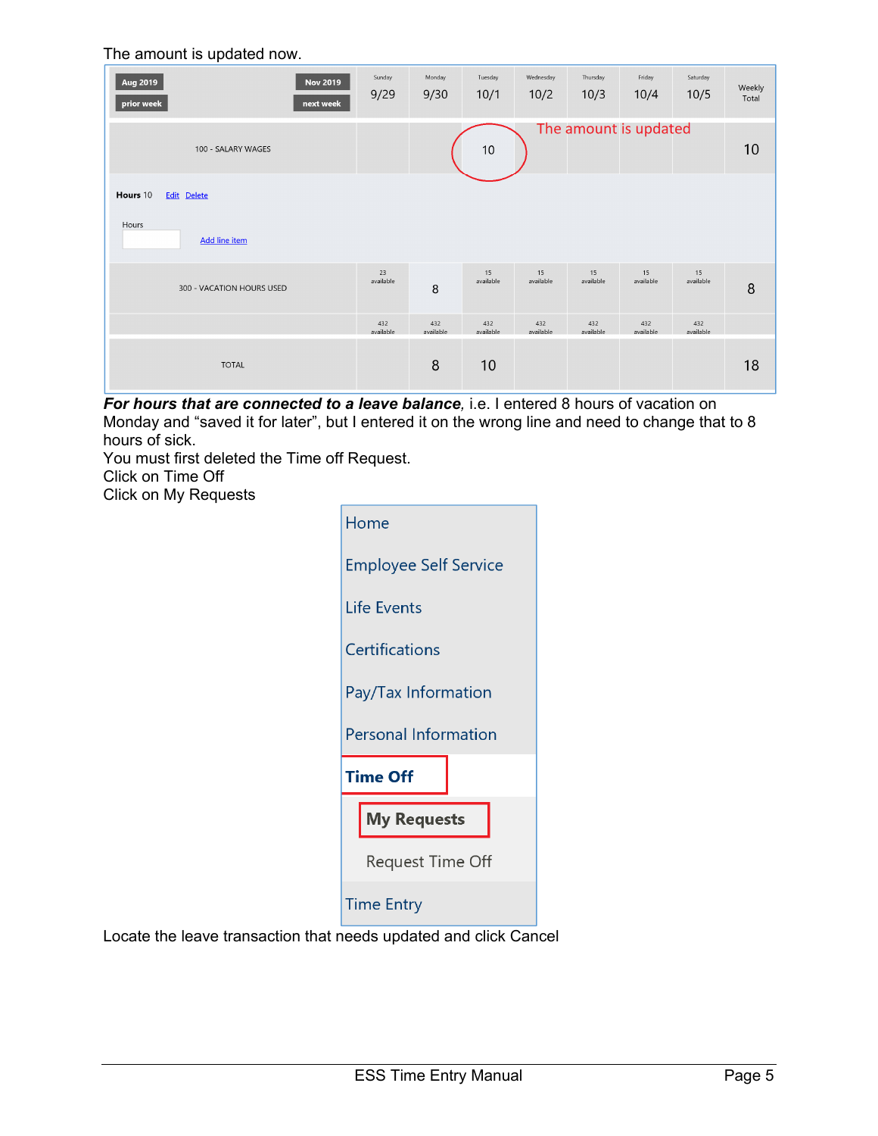#### The amount is updated now.

| Aug 2019<br><b>Nov 2019</b><br>prior week<br>next week | Sunday<br>9/29   | Monday<br>9/30   | Tuesday<br>10/1  | Wednesday<br>10/2 | Thursday<br>10/3      | Friday<br>10/4   | Saturday<br>10/5 | Weekly<br>Total |
|--------------------------------------------------------|------------------|------------------|------------------|-------------------|-----------------------|------------------|------------------|-----------------|
| 100 - SALARY WAGES                                     |                  |                  | $10$             |                   | The amount is updated |                  |                  | 10              |
| Hours 10<br>Edit Delete                                |                  |                  |                  |                   |                       |                  |                  |                 |
| Hours<br><b>Add line item</b>                          |                  |                  |                  |                   |                       |                  |                  |                 |
| 300 - VACATION HOURS USED                              | 23<br>available  | 8                | 15<br>available  | 15<br>available   | 15<br>available       | 15<br>available  | 15<br>available  | 8               |
|                                                        | 432<br>available | 432<br>available | 432<br>available | 432<br>available  | 432<br>available      | 432<br>available | 432<br>available |                 |
| <b>TOTAL</b>                                           |                  | 8                | 10               |                   |                       |                  |                  | 18              |

*For hours that are connected to a leave balance*, *i.e.* I entered 8 hours of vacation on Monday and "saved it for later", but I entered it on the wrong line and need to change that to 8 hours of sick.

You must first deleted the Time off Request.

Click on Time Off

Click on My Requests

| Home                         |
|------------------------------|
| <b>Employee Self Service</b> |
| Life Events                  |
| Certifications               |
| Pay/Tax Information          |
| <b>Personal Information</b>  |
| <b>Time Off</b>              |
| <b>My Requests</b>           |
| <b>Request Time Off</b>      |
| <b>Time Entry</b>            |

Locate the leave transaction that needs updated and click Cancel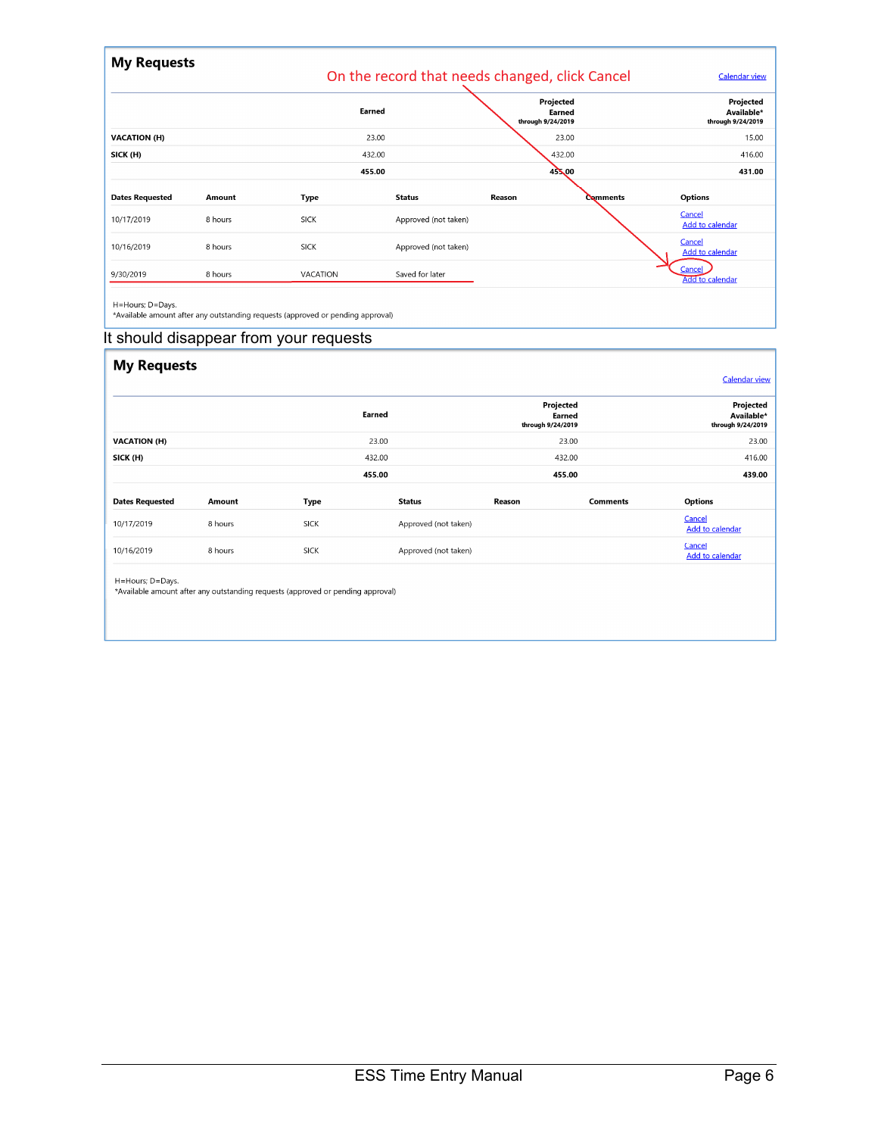| <b>My Requests</b>     |         |             | On the record that needs changed, click Cancel |                   |                     | <b>Calendar view</b>                         |
|------------------------|---------|-------------|------------------------------------------------|-------------------|---------------------|----------------------------------------------|
|                        |         |             | Earned                                         | through 9/24/2019 | Projected<br>Earned | Projected<br>Available*<br>through 9/24/2019 |
| <b>VACATION (H)</b>    |         |             | 23.00                                          |                   | 23.00               | 15.00                                        |
| SICK (H)               |         |             | 432.00                                         |                   | 432.00              | 416.00                                       |
|                        |         |             | 455.00                                         |                   | $45 \times 00$      | 431.00                                       |
| <b>Dates Requested</b> | Amount  | <b>Type</b> | <b>Status</b>                                  | Reason            | <b>Comments</b>     | <b>Options</b>                               |
| 10/17/2019             | 8 hours | <b>SICK</b> | Approved (not taken)                           |                   |                     | Cancel<br>Add to calendar                    |
| 10/16/2019             | 8 hours | <b>SICK</b> | Approved (not taken)                           |                   |                     | Cancel<br><b>Add to calendar</b>             |
| 9/30/2019              | 8 hours | VACATION    | Saved for later                                |                   |                     | Cancel<br><b>Add to calendar</b>             |
| .                      |         |             |                                                |                   |                     |                                              |

H=Hours; D=Days.<br>\*Available amount after any outstanding requests (approved or pending approval)

#### It should disappear from your requests

| <b>My Requests</b>     |         |             |                      |                   |                     | <b>Calendar view</b>                         |
|------------------------|---------|-------------|----------------------|-------------------|---------------------|----------------------------------------------|
|                        |         |             | Earned               | through 9/24/2019 | Projected<br>Earned | Projected<br>Available*<br>through 9/24/2019 |
| <b>VACATION (H)</b>    |         |             | 23.00                |                   | 23.00               | 23.00                                        |
| SICK (H)               |         |             | 432.00               |                   | 432.00              | 416.00                                       |
|                        |         |             | 455.00               | 455.00            |                     | 439.00                                       |
| <b>Dates Requested</b> | Amount  | <b>Type</b> | <b>Status</b>        | Reason            | <b>Comments</b>     | Options                                      |
| 10/17/2019             | 8 hours | <b>SICK</b> | Approved (not taken) |                   |                     | Cancel<br>Add to calendar                    |
| 10/16/2019             | 8 hours | <b>SICK</b> | Approved (not taken) |                   |                     | Cancel<br>Add to calendar                    |

H=Hours; D=Days.<br>\*Available amount after any outstanding requests (approved or pending approval)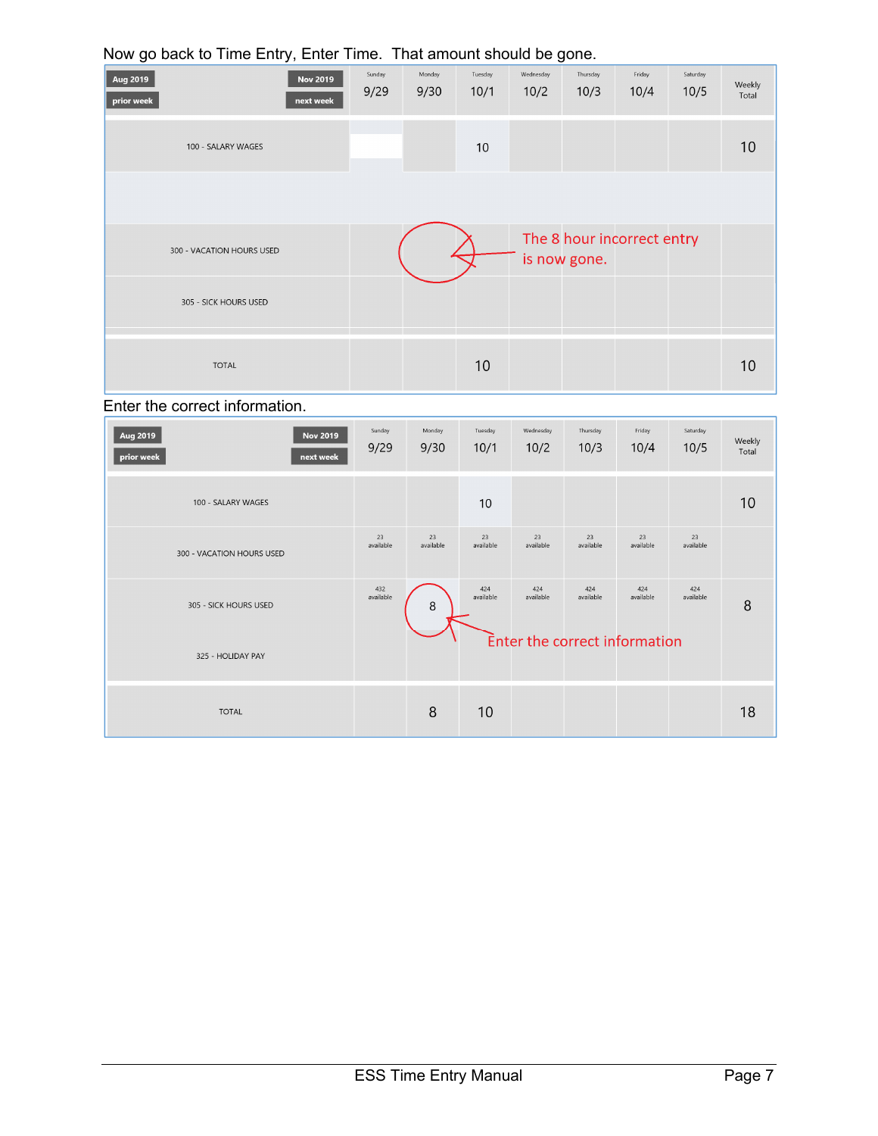|                        | $\ldots$ and $\ldots$ . The $\ldots$ is $\ldots$ in the set of $\ldots$ in the set of $\ldots$ |                |                |                 |                   |                  |                            |                  |                 |
|------------------------|------------------------------------------------------------------------------------------------|----------------|----------------|-----------------|-------------------|------------------|----------------------------|------------------|-----------------|
| Aug 2019<br>prior week | <b>Nov 2019</b><br>next week                                                                   | Sunday<br>9/29 | Monday<br>9/30 | Tuesday<br>10/1 | Wednesday<br>10/2 | Thursday<br>10/3 | Friday<br>10/4             | Saturday<br>10/5 | Weekly<br>Total |
|                        | 100 - SALARY WAGES                                                                             |                |                | 10              |                   |                  |                            |                  | 10              |
|                        |                                                                                                |                |                |                 |                   |                  |                            |                  |                 |
|                        | 300 - VACATION HOURS USED                                                                      |                |                |                 |                   | is now gone.     | The 8 hour incorrect entry |                  |                 |
|                        | 305 - SICK HOURS USED                                                                          |                |                |                 |                   |                  |                            |                  |                 |
|                        | <b>TOTAL</b>                                                                                   |                |                | 10              |                   |                  |                            |                  | 10              |

#### Now go back to Time Entry, Enter Time. That amount should be gone.

## Enter the correct information.

| Aug 2019<br><b>Nov 2019</b><br>prior week<br>next week | Sunday<br>9/29   | Monday<br>9/30  | Tuesday<br>10/1  | Wednesday<br>10/2 | Thursday<br>10/3 | Friday<br>10/4                | Saturday<br>10/5 | Weekly<br>Total |
|--------------------------------------------------------|------------------|-----------------|------------------|-------------------|------------------|-------------------------------|------------------|-----------------|
| 100 - SALARY WAGES                                     |                  |                 | 10               |                   |                  |                               |                  | 10              |
| 300 - VACATION HOURS USED                              | 23<br>available  | 23<br>available | 23<br>available  | 23<br>available   | 23<br>available  | 23<br>available               | 23<br>available  |                 |
| 305 - SICK HOURS USED                                  | 432<br>available | 8               | 424<br>available | 424<br>available  | 424<br>available | 424<br>available              | 424<br>available | 8               |
| 325 - HOLIDAY PAY                                      |                  |                 |                  |                   |                  | Enter the correct information |                  |                 |
| <b>TOTAL</b>                                           |                  | 8               | 10               |                   |                  |                               |                  | 18              |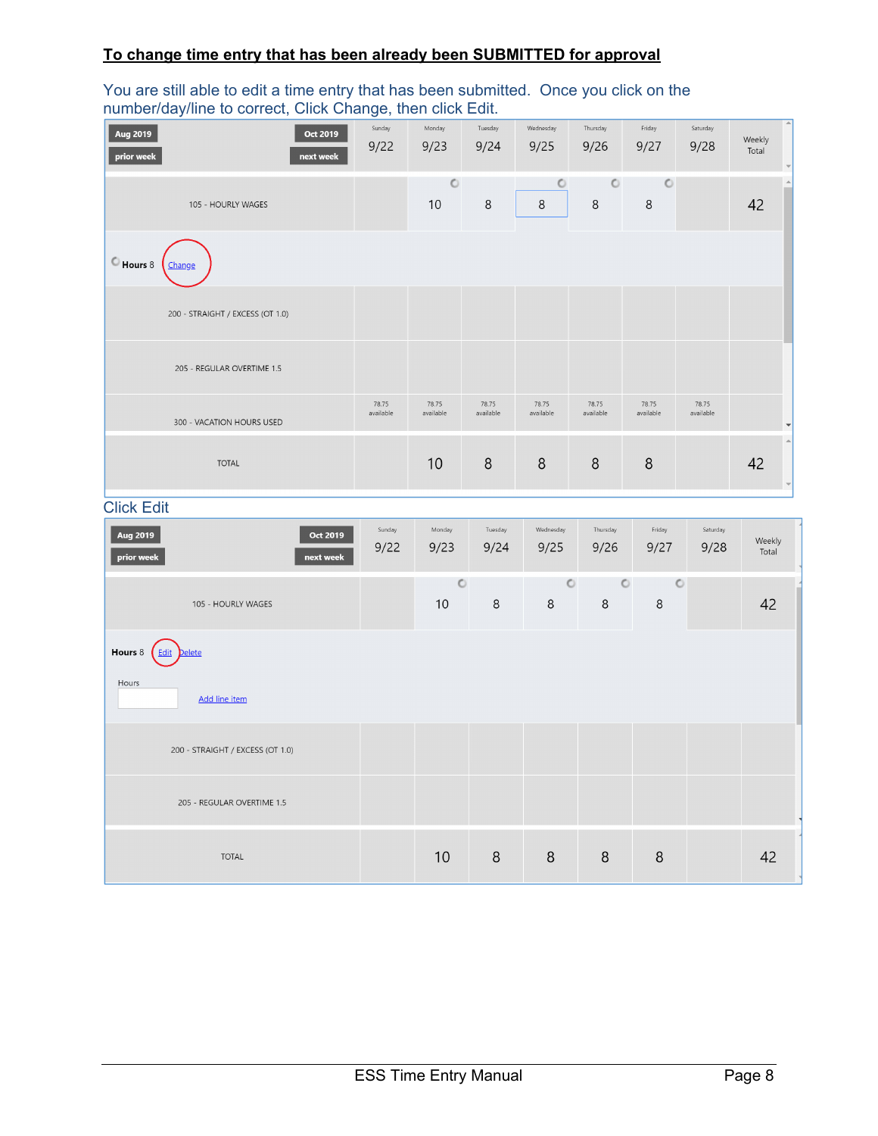#### **To change time entry that has been already been SUBMITTED for approval**

#### You are still able to edit a time entry that has been submitted. Once you click on the number/day/line to correct, Click Change, then click Edit.

| J                                               | <u>.</u>           |                    |                    |                    |                    |                    |                    |                                                    |
|-------------------------------------------------|--------------------|--------------------|--------------------|--------------------|--------------------|--------------------|--------------------|----------------------------------------------------|
| Oct 2019<br>Aug 2019<br>prior week<br>next week | Sunday<br>9/22     | Monday<br>9/23     | Tuesday<br>9/24    | Wednesday<br>9/25  | Thursday<br>9/26   | Friday<br>9/27     | Saturday<br>9/28   | Weekly<br>Total                                    |
| 105 - HOURLY WAGES                              |                    | $\circ$<br>10      | 8                  | O<br>$\,8\,$       | $\circ$<br>$\,8\,$ | $\circ$<br>$\,8\,$ |                    | $\blacktriangle$<br>42                             |
| $°$ Hours 8<br>Change                           |                    |                    |                    |                    |                    |                    |                    |                                                    |
| 200 - STRAIGHT / EXCESS (OT 1.0)                |                    |                    |                    |                    |                    |                    |                    |                                                    |
| 205 - REGULAR OVERTIME 1.5                      |                    |                    |                    |                    |                    |                    |                    |                                                    |
| 300 - VACATION HOURS USED                       | 78.75<br>available | 78.75<br>available | 78.75<br>available | 78.75<br>available | 78.75<br>available | 78.75<br>available | 78.75<br>available | $\overline{\phantom{0}}$                           |
| <b>TOTAL</b>                                    |                    | 10                 | 8                  | 8                  | 8                  | 8                  |                    | $\blacktriangle$<br>42<br>$\overline{\phantom{a}}$ |
| <b>Click Edit</b>                               |                    |                    |                    |                    |                    |                    |                    |                                                    |
| Aug 2019<br>Oct 2019<br>prior week<br>next week | Sunday<br>9/22     | Monday<br>9/23     | Tuesday<br>9/24    | Wednesday<br>9/25  | Thursday<br>9/26   | Friday<br>9/27     | Saturday<br>9/28   | Weekly<br>Total                                    |
| 105 - HOURLY WAGES                              |                    | $\circ$<br>10      | $\,8\,$            | $\circ$<br>$\,8\,$ | $\circ$<br>$\,8\,$ | $\circ$<br>8       |                    | 42                                                 |
| $\curvearrowright$                              |                    |                    |                    |                    |                    |                    |                    |                                                    |

Hours 8 <u>Edit</u> Delete Hours Add line item 200 - STRAIGHT / EXCESS (OT 1.0) 205 - REGULAR OVERTIME 1.5

**TOTAL** 

 $10$ 

 $8\phantom{1}$ 

 $\,8\,$ 

 $\,8\,$ 

 $\,8\,$ 

42